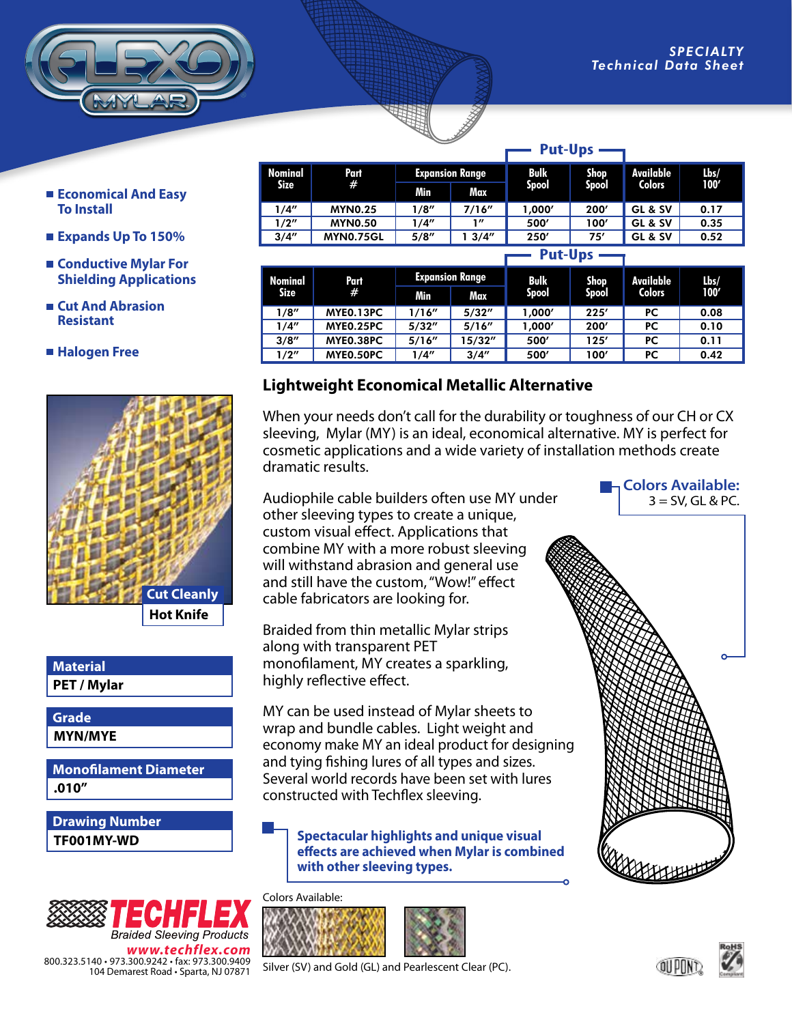- **Economical And Easy To Install**
- **Expands Up To 150%**
- **Conductive Mylar For Shielding Applications**
- **Cut And Abrasion Resistant**
- **Halogen Free**



**PET / Mylar Material**

**MYN/MYE Grade**

**.010" Monofilament Diameter**

**TF001MY-WD Drawing Number**



**Nominal Size Part # Expansion Range | Bulk Spool Shop Spool Available Colors Lbs/ 100' Min Max** 1/4" MYN0.25 1/8" 7/16" 1,000' 200' GL & SV 0.17 1/2" MYN0.50 1/4" 1" 500' 100' GL & SV 0.35 3/4" | MYN0.75GL | 5/8" | 1 3/4" | 250' | 75' | GL & SV | 0.52 **Nominal Part Expansion Range Bulk Shop Available Lbs/ Put-Ups**

| Nominal<br>Size | Part<br># | Expansion Range |         | <b>Bulk</b>  | Shop         | Available     | Lbs/ |
|-----------------|-----------|-----------------|---------|--------------|--------------|---------------|------|
|                 |           | Min             | Max.    | <b>Spool</b> | <b>Spool</b> | <b>Colors</b> | 100' |
| 1/8″            | MYEO.13PC | 1/16"           | 5/32''  | 1.000′       | 225'         | PС            | 0.08 |
| 1/4″            | MYE0.25PC | 5/32''          | 5/16''  | 1.000′       | 200'         | PС            | 0.10 |
| 3/8''           | MYE0.38PC | 5/16''          | 15/32'' | 500'         | 125′         | PC            | 0.11 |
| 1/2"            | MYE0.50PC | 1/4″            | 3/4"    | 500'         | 100′         | PС            | 0.42 |

## **Lightweight Economical Metallic Alternative**

When your needs don't call for the durability or toughness of our CH or CX sleeving, Mylar (MY) is an ideal, economical alternative. MY is perfect for cosmetic applications and a wide variety of installation methods create dramatic results.

Audiophile cable builders often use MY under other sleeving types to create a unique, custom visual effect. Applications that combine MY with a more robust sleeving will withstand abrasion and general use and still have the custom, "Wow!" effect cable fabricators are looking for.

Braided from thin metallic Mylar strips along with transparent PET monofilament, MY creates a sparkling, highly reflective effect.

MY can be used instead of Mylar sheets to wrap and bundle cables. Light weight and economy make MY an ideal product for designing and tying fishing lures of all types and sizes. Several world records have been set with lures constructed with Techflex sleeving.

**Spectacular highlights and unique visual effects are achieved when Mylar is combined with other sleeving types.**

## Colors Available:



Silver (SV) and Gold (GL) and Pearlescent Clear (PC).



**Colors Available:**  $3 =$  SV, GL & PC.



## **Put-Ups**